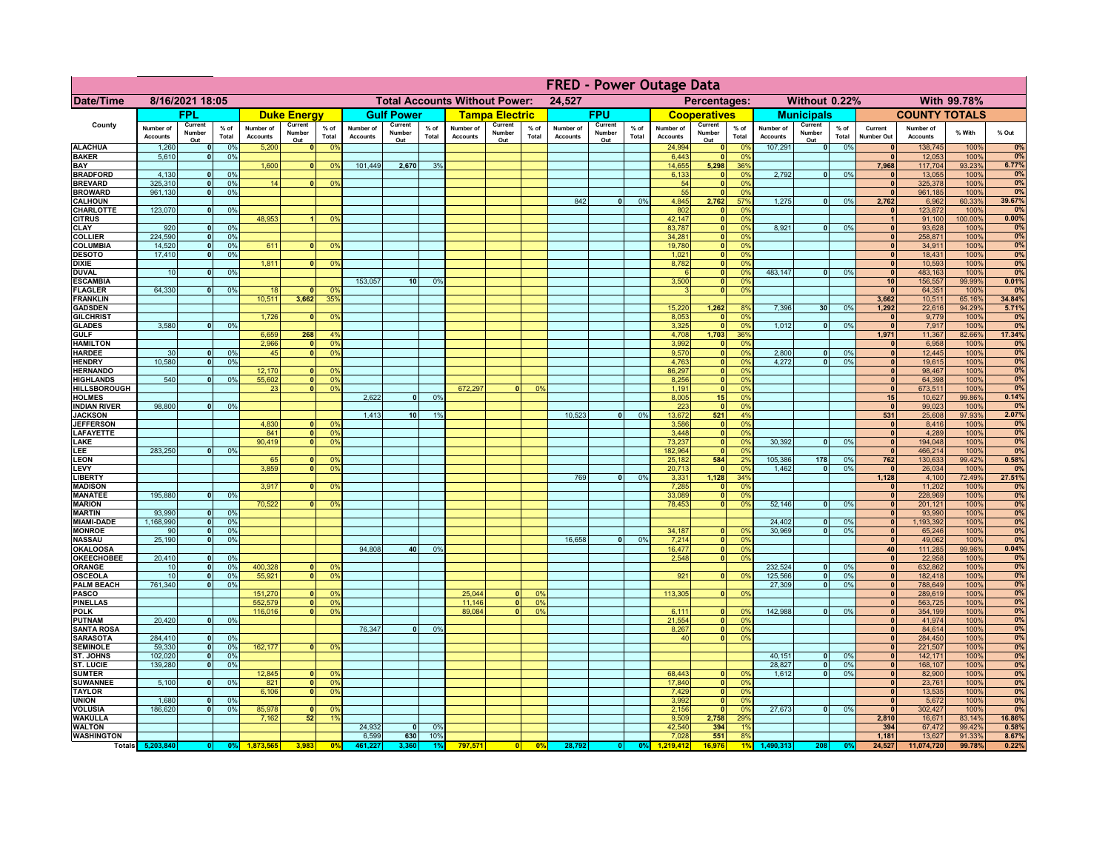|                                      | <b>FRED - Power Outage Data</b> |                          |                      |                              |                                  |                                                |                              |                          |                 |                              |                                              |                            |                              |                          |                 |                              |                          |                       |                              |                          |                 |                                 |                              |                |              |
|--------------------------------------|---------------------------------|--------------------------|----------------------|------------------------------|----------------------------------|------------------------------------------------|------------------------------|--------------------------|-----------------|------------------------------|----------------------------------------------|----------------------------|------------------------------|--------------------------|-----------------|------------------------------|--------------------------|-----------------------|------------------------------|--------------------------|-----------------|---------------------------------|------------------------------|----------------|--------------|
| <b>Date/Time</b>                     | 8/16/2021 18:05                 |                          |                      |                              |                                  | <b>Total Accounts Without Power:</b><br>24,527 |                              |                          |                 |                              | Without 0.22%<br>With 99.78%<br>Percentages: |                            |                              |                          |                 |                              |                          |                       |                              |                          |                 |                                 |                              |                |              |
|                                      |                                 | <b>FPL</b>               |                      |                              | <b>Duke Energy</b>               |                                                |                              | <b>Gulf Power</b>        |                 |                              | <b>Tampa Electric</b>                        |                            |                              | <b>FPU</b>               |                 |                              | <b>Cooperatives</b>      |                       |                              | <b>Municipals</b>        |                 |                                 | <b>COUNTY TOTALS</b>         |                |              |
| County                               | Number of<br><b>Accounts</b>    | Current<br>Number<br>Out | $%$ of<br>Total      | Number of<br><b>Accounts</b> | Current<br>Number<br>Out         | $%$ of<br>Total                                | Number of<br><b>Accounts</b> | Current<br>Number<br>Out | $%$ of<br>Total | Number of<br><b>Accounts</b> | Current<br>Number<br>Out                     | % of<br>Total              | Number of<br><b>Accounts</b> | Current<br>Number<br>Out | $%$ of<br>Total | Number of<br><b>Accounts</b> | Current<br>Number<br>Out | $%$ of<br>Total       | Number of<br><b>Accounts</b> | Current<br>Number<br>Out | $%$ of<br>Total | Current<br>Number Out           | Number of<br><b>Accounts</b> | % With         | % Out        |
| <b>ALACHUA</b>                       | 1,260                           | $\mathbf{0}$             | 0%                   | 5,200                        | $\mathbf{0}$                     | 0%                                             |                              |                          |                 |                              |                                              |                            |                              |                          |                 | 24,994                       | 0                        | 0 <sup>9</sup>        | 107,291                      | 0                        | 0%              | $\mathbf{0}$                    | 138,745                      | 100%           | 0%           |
| <b>BAKER</b><br>BAY                  | 5,610                           | $\mathbf{0}$             | 0%                   | 1,600                        | $\mathbf{0}$                     | 0%                                             | 101,449                      | 2,670                    | 3%              |                              |                                              |                            |                              |                          |                 | 6.443<br>14,655              | 0 <br>5,298              | 0%<br>36%             |                              |                          |                 | $\mathbf{0}$<br>7.968           | 12,053<br>117,704            | 100%<br>93.23% | 0%<br>6.77%  |
| <b>BRADFORD</b>                      | 4.130                           | $\Omega$                 | 0%                   |                              |                                  |                                                |                              |                          |                 |                              |                                              |                            |                              |                          |                 | 6,133                        | 0                        | 0%                    | 2.792                        | $\overline{0}$           | 0%              | $\Omega$                        | 13,055                       | 100%           | 0%           |
| <b>BREVARD</b>                       | 325,310                         | $\Omega$                 | 0%                   | 14                           |                                  | 0 <sup>9</sup>                                 |                              |                          |                 |                              |                                              |                            |                              |                          |                 | 54                           | $\mathbf{0}$             | 0%                    |                              |                          |                 | $\mathbf{0}$                    | 325,378                      | 100%           | 0%           |
| <b>BROWARD</b>                       | 961.130                         | $\mathbf{0}$             | 0%                   |                              |                                  |                                                |                              |                          |                 |                              |                                              |                            |                              |                          |                 | 55                           | $\mathbf{0}$             | 0%                    |                              | 0                        |                 | $\mathbf{0}$                    | 961,185                      | 100%           | 0%           |
| <b>CALHOUN</b><br>CHARLOTTE          | 123,070                         | $\mathbf{0}$             | 0%                   |                              |                                  |                                                |                              |                          |                 |                              |                                              |                            | 842                          | $\bullet$                | 0%              | 4,845<br>802                 | 2,762<br>$\mathbf{0}$    | 57%<br>0%             | 1,275                        |                          | 0%              | 2,762                           | 6,962<br>123,872             | 60.33%<br>100% | 39.67%<br>0% |
| <b>CITRUS</b>                        |                                 |                          |                      | 48,953                       |                                  | 0 <sup>9</sup>                                 |                              |                          |                 |                              |                                              |                            |                              |                          |                 | 42,147                       | 0                        | 0%                    |                              |                          |                 | $\overline{1}$                  | 91,100                       | 100.00%        | 0.00%        |
| <b>CLAY</b>                          | 920                             | $\mathbf{0}$             | 0%                   |                              |                                  |                                                |                              |                          |                 |                              |                                              |                            |                              |                          |                 | 83,787                       | 0                        | 0%                    | 8,921                        | 0                        | 0%              | $\mathbf{0}$                    | 93,628                       | 100%           | 0%           |
| <b>COLLIER</b><br><b>COLUMBIA</b>    | 224,590<br>14,520               | 0 <br> 0                 | 0%<br>0%             | 611                          | $\Omega$                         | 0%                                             |                              |                          |                 |                              |                                              |                            |                              |                          |                 | 34,281<br>19,780             | 0 <br> 0                 | 0%<br>0%              |                              |                          |                 | $\mathbf{0}$<br> 0              | 258,871<br>34,911            | 100%<br>100%   | 0%<br>0%     |
| <b>DESOTO</b>                        | 17,410                          | $\mathbf{0}$             | 0%                   |                              |                                  |                                                |                              |                          |                 |                              |                                              |                            |                              |                          |                 | 1,021                        | $\overline{\bullet}$     | 0%                    |                              |                          |                 | 0                               | 18,431                       | 100%           | 0%           |
| <b>DIXIE</b>                         |                                 |                          |                      | 1,811                        | $\Omega$                         | 0%                                             |                              |                          |                 |                              |                                              |                            |                              |                          |                 | 8,782                        | $\overline{\bullet}$     | 0%                    |                              |                          |                 | 0                               | 10,593                       | 100%           | 0%           |
| <b>DUVAL</b><br><b>ESCAMBIA</b>      | 10                              | $\mathbf{0}$             | 0%                   |                              |                                  |                                                | 153,057                      | 10 <sup>1</sup>          | 0%              |                              |                                              |                            |                              |                          |                 | $\epsilon$<br>3,500          | 0 <br> 0                 | 0%<br>0%              | 483.147                      | $\overline{0}$           | 0%              | 0 <br>10                        | 483,163<br>156,557           | 100%<br>99.99% | 0%<br>0.01%  |
| <b>FLAGLER</b>                       | 64,330                          | 0                        | 0%                   | 18                           | $\mathbf{r}$                     | 0 <sup>9</sup>                                 |                              |                          |                 |                              |                                              |                            |                              |                          |                 | $\mathbf{R}$                 | 0                        | 0%                    |                              |                          |                 | $\mathbf{0}$                    | 64,351                       | 100%           | 0%           |
| <b>FRANKLIN</b>                      |                                 |                          |                      | 10,511                       | 3,662                            | 35%                                            |                              |                          |                 |                              |                                              |                            |                              |                          |                 |                              |                          |                       |                              |                          |                 | 3,662                           | 10,511                       | 65.16%         | 34.84%       |
| <b>GADSDEN</b>                       |                                 |                          |                      |                              |                                  |                                                |                              |                          |                 |                              |                                              |                            |                              |                          |                 | 15,220                       | 1,262                    | 8%                    | 7,396                        | 30                       | 0%              | 1,292                           | 22,616                       | 94.29%         | 5.71%        |
| <b>GILCHRIST</b><br><b>GLADES</b>    | 3.580                           | $\mathbf{0}$             | 0 <sup>9</sup>       | 1,726                        | $\mathbf{0}$                     | 0 <sup>9</sup>                                 |                              |                          |                 |                              |                                              |                            |                              |                          |                 | 8,053<br>3,325               | 0 <br> 0                 | 0%<br>0%              | 1,012                        | $\overline{0}$           | 0%              | $\mathbf{0}$<br>$\overline{0}$  | 9,779<br>7,917               | 100%<br>100%   | 0%<br>0%     |
| <b>GULF</b>                          |                                 |                          |                      | 6,659                        | 268                              | 4 <sup>9</sup>                                 |                              |                          |                 |                              |                                              |                            |                              |                          |                 | 4,708                        | 1,703                    | 36%                   |                              |                          |                 | 1,971                           | 11,367                       | 82.66%         | 17.34%       |
| <b>HAMILTON</b>                      |                                 |                          |                      | 2,966                        | $\Omega$                         | 0 <sup>9</sup>                                 |                              |                          |                 |                              |                                              |                            |                              |                          |                 | 3,992                        | 0                        | 0%                    |                              |                          |                 | $\bullet$                       | 6,958                        | 100%           | 0%           |
| <b>HARDEE</b>                        | 30<br>10,580                    | $\Omega$<br>$\Omega$     | 0 <sup>9</sup><br>0% | 45                           | $\mathbf{0}$                     | 0 <sup>9</sup>                                 |                              |                          |                 |                              |                                              |                            |                              |                          |                 | 9,570<br>4,763               | 0                        | 0%<br>0%              | 2.800<br>4,272               | $\mathbf{0}$<br>$\Omega$ | 0%<br>0%        | $\mathbf{0}$<br> 0              | 12,445                       | 100%           | 0%<br>0%     |
| <b>HENDRY</b><br><b>HERNANDO</b>     |                                 |                          |                      | 12,170                       | $\mathbf{0}$                     | 0 <sup>9</sup>                                 |                              |                          |                 |                              |                                              |                            |                              |                          |                 | 86,297                       | 0 <br> 0                 | 0%                    |                              |                          |                 | 0                               | 19,615<br>98,467             | 100%<br>100%   | 0%           |
| <b>HIGHLANDS</b>                     | 540                             |                          | 0%                   | 55,602                       | $\mathbf{0}$                     | 0 <sup>9</sup>                                 |                              |                          |                 |                              |                                              |                            |                              |                          |                 | 8,256                        | 0                        | 0%                    |                              |                          |                 | 0                               | 64,398                       | 100%           | 0%           |
| <b>HILLSBOROUGH</b>                  |                                 |                          |                      | 23                           | $\mathbf{0}$                     | 0 <sup>9</sup>                                 |                              |                          |                 | 672.297                      | $\mathbf{0}$                                 | 0 <sup>9</sup>             |                              |                          |                 | 1,191                        | 0                        | 0%                    |                              |                          |                 | 0                               | 673,511                      | 100%           | 0%           |
| <b>HOLMES</b><br><b>INDIAN RIVER</b> | 98,800                          |                          | 0%                   |                              |                                  |                                                | 2,622                        | $\Omega$                 | 0%              |                              |                                              |                            |                              |                          |                 | 8.005<br>223                 | 15<br>$\mathbf{0}$       | 0%<br>0%              |                              |                          |                 | 15 <sup>1</sup><br>$\mathbf{0}$ | 10,627<br>99,023             | 99.86%<br>100% | 0.14%<br>0%  |
| <b>JACKSON</b>                       |                                 |                          |                      |                              |                                  |                                                | 1.413                        | 10 <sup>1</sup>          | 1%              |                              |                                              |                            | 10,523                       | $\Omega$                 | 0%              | 13,672                       | 521                      | 4%                    |                              |                          |                 | 531                             | 25,608                       | 97.93%         | 2.07%        |
| <b>JEFFERSON</b>                     |                                 |                          |                      | 4,830                        | n١                               | 0 <sup>9</sup>                                 |                              |                          |                 |                              |                                              |                            |                              |                          |                 | 3,586                        | 0                        | 0%                    |                              |                          |                 | 0                               | 8,416                        | 100%           | 0%           |
| <b>LAFAYETTE</b>                     |                                 |                          |                      | 841<br>90,419                | $\overline{0}$<br>$\overline{0}$ | 0 <sup>9</sup>                                 |                              |                          |                 |                              |                                              |                            |                              |                          |                 | 3,448                        | $\mathbf{0}$             | 0%<br>0%              | 30,392                       | $\overline{0}$           | 0%              | 0 <br> 0                        | 4,289                        | 100%           | 0%           |
| LAKE<br>LEE                          | 283,250                         | $\Omega$                 | 0%                   |                              |                                  | 0 <sup>9</sup>                                 |                              |                          |                 |                              |                                              |                            |                              |                          |                 | 73,237<br>182,964            | 0 <br> 0                 | 0%                    |                              |                          |                 | 0                               | 194,048<br>466,214           | 100%<br>100%   | 0%<br>0%     |
| <b>LEON</b>                          |                                 |                          |                      | 65                           | $\Omega$                         | 0 <sup>9</sup>                                 |                              |                          |                 |                              |                                              |                            |                              |                          |                 | 25,182                       | 584                      | 2%                    | 105,386                      | 178                      | 0%              | 762                             | 130,633                      | 99.42%         | 0.58%        |
| LEVY                                 |                                 |                          |                      | 3,859                        | $\Omega$                         | 0 <sup>9</sup>                                 |                              |                          |                 |                              |                                              |                            |                              |                          |                 | 20,713                       | 0                        | 0%                    | 1,462                        | 0                        | 0%              | $\bullet$                       | 26,034                       | 100%           | 0%           |
| <b>LIBERTY</b><br><b>MADISON</b>     |                                 |                          |                      | 3,917                        | $\Omega$                         | 0%                                             |                              |                          |                 |                              |                                              |                            | 769                          | 0                        | 0%              | 3,331<br>7,285               | 1,128<br> 0              | 34%<br>0%             |                              |                          |                 | 1,128<br> 0                     | 4,100<br>11,202              | 72.49%<br>100% | 27.51%<br>0% |
| <b>MANATEE</b>                       | 195,880                         | 0                        | 0%                   |                              |                                  |                                                |                              |                          |                 |                              |                                              |                            |                              |                          |                 | 33,089                       | 0                        | 0%                    |                              |                          |                 | 0                               | 228,969                      | 100%           | 0%           |
| <b>MARION</b>                        |                                 |                          |                      | 70,522                       | 0 <sup>1</sup>                   | 0%                                             |                              |                          |                 |                              |                                              |                            |                              |                          |                 | 78,453                       | 0                        | 0%                    | 52,146                       | -ol                      | 0%              | 0                               | 201,121                      | 100%           | 0%           |
| <b>MARTIN</b><br><b>MIAMI-DADE</b>   | 93.990<br>1,168,990             | $\Omega$                 | 0%<br>0%             |                              |                                  |                                                |                              |                          |                 |                              |                                              |                            |                              |                          |                 |                              |                          |                       | 24,402                       | 0                        | 0%              | 0 <br> 0                        | 93,990<br>1,193,392          | 100%<br>100%   | 0%<br>0%     |
| <b>MONROE</b>                        | 90                              | 0 <br>- O I              | 0%                   |                              |                                  |                                                |                              |                          |                 |                              |                                              |                            |                              |                          |                 | 34,187                       | 0                        | $\Omega$ <sup>9</sup> | 30,969                       | 0                        | 0%              | 0                               | 65,246                       | 100%           | 0%           |
| <b>NASSAU</b>                        | 25,190                          | - O I                    | 0%                   |                              |                                  |                                                |                              |                          |                 |                              |                                              |                            | 16,658                       | 0                        | 0%              | 7,214                        | 0                        | 0%                    |                              |                          |                 | 0                               | 49,062                       | 100%           | 0%           |
| <b>OKALOOSA</b>                      |                                 |                          |                      |                              |                                  |                                                | 94,808                       | 40                       | 0%              |                              |                                              |                            |                              |                          |                 | 16,477                       | 0                        | 0%                    |                              |                          |                 | 40                              | 111,285                      | 99.96%         | 0.04%        |
| <b>OKEECHOBEE</b><br><b>ORANGE</b>   | 20,410<br>10                    | $\Omega$<br> 0           | 0%<br>0%             | 400,328                      | $\mathbf{0}$                     | 0 <sup>9</sup>                                 |                              |                          |                 |                              |                                              |                            |                              |                          |                 | 2,548                        | 0                        | 0%                    | 232,524                      | -ol                      | 0%              | 0 <br> 0                        | 22,958<br>632,862            | 100%<br>100%   | 0%<br>0%     |
| <b>OSCEOLA</b>                       | 10                              | 0                        | 0%                   | 55,921                       | $\mathbf{0}$                     | 0 <sup>9</sup>                                 |                              |                          |                 |                              |                                              |                            |                              |                          |                 | 921                          | 0                        | 0%                    | 125,566                      | 0                        | 0%              | 0                               | 182,418                      | 100%           | 0%           |
| <b>PALM BEACH</b>                    | 761,340                         | 0                        | 0%                   |                              |                                  |                                                |                              |                          |                 |                              |                                              |                            |                              |                          |                 |                              |                          |                       | 27,309                       | $\overline{0}$           | 0%              | 0                               | 788,649                      | 100%           | 0%           |
| <b>PASCO</b><br><b>PINELLAS</b>      |                                 |                          |                      | 151,270                      | $\mathbf{0}$<br> 0               | 0 <sup>9</sup><br>0 <sup>9</sup>               |                              |                          |                 | 25,044<br>11,146             | $\Omega$<br> 0                               | $\Omega$<br>0 <sup>9</sup> |                              |                          |                 | 113,305                      | 0                        | 0%                    |                              |                          |                 | 0 <br> 0                        | 289,619<br>563,725           | 100%<br>100%   | 0%<br>0%     |
| <b>POLK</b>                          |                                 |                          |                      | 552,579<br>116,016           | <sub>0</sub>                     | 0 <sup>9</sup>                                 |                              |                          |                 | 89,084                       | $\Omega$                                     | 0 <sup>9</sup>             |                              |                          |                 | 6,111                        | 0                        | $\Omega$ <sup>9</sup> | 142,988                      | 0                        | 0%              | $\mathbf{0}$                    | 354,199                      | 100%           | 0%           |
| <b>PUTNAM</b>                        | 20,420                          | $\mathbf{0}$             | 0%                   |                              |                                  |                                                |                              |                          |                 |                              |                                              |                            |                              |                          |                 | 21,554                       | 0                        | 0%                    |                              |                          |                 | $\mathbf{0}$                    | 41,974                       | 100%           | 0%           |
| <b>SANTA ROSA</b><br><b>SARASOTA</b> |                                 | $\mathbf{0}$             | 0%                   |                              |                                  |                                                | 76,347                       | $\mathbf{0}$             | 0%              |                              |                                              |                            |                              |                          |                 | 8,267                        | 0 <br> 0                 | 0%<br>0%              |                              |                          |                 | $\mathbf{0}$<br>$\mathbf{0}$    | 84,614                       | 100%           | 0%<br>0%     |
| <b>SEMINOLE</b>                      | 284,410<br>59,330               | $\mathbf{0}$             | 0%                   | 162,177                      | O.                               | 0 <sup>9</sup>                                 |                              |                          |                 |                              |                                              |                            |                              |                          |                 | 40                           |                          |                       |                              |                          |                 | $\mathbf{0}$                    | 284,450<br>221,507           | 100%<br>100%   | 0%           |
| ST. JOHNS                            | 102,020                         | $\mathbf{0}$             | 0%                   |                              |                                  |                                                |                              |                          |                 |                              |                                              |                            |                              |                          |                 |                              |                          |                       | 40,151                       | 0                        | 0%              | $\mathbf{0}$                    | 142,171                      | 100%           | 0%           |
| <b>ST. LUCIE</b>                     | 139,280                         | $\mathbf{0}$             | 0%                   |                              |                                  |                                                |                              |                          |                 |                              |                                              |                            |                              |                          |                 |                              |                          |                       | 28,827                       | 0                        | 0%              | $\mathbf{0}$                    | 168,107                      | 100%           | 0%           |
| <b>SUMTER</b><br><b>SUWANNEE</b>     | 5,100                           | $\mathbf{0}$             | 0%                   | 12,845<br>821                | $\mathbf{0}$                     | 0 <sup>6</sup><br>0 <sup>9</sup>               |                              |                          |                 |                              |                                              |                            |                              |                          |                 | 68,443<br>17,840             | $\mathbf{0}$<br> 0       | 0 <sup>9</sup><br>0%  | 1,612                        | $\overline{\phantom{0}}$ | 0%              | $\mathbf{0}$<br>$\mathbf{0}$    | 82,900<br>23,761             | 100%<br>100%   | 0%<br>0%     |
| <b>TAYLOR</b>                        |                                 |                          |                      | 6,106                        | n l                              | 0 <sup>9</sup>                                 |                              |                          |                 |                              |                                              |                            |                              |                          |                 | 7,429                        | 0                        | 0%                    |                              |                          |                 | $\mathbf{0}$                    | 13,535                       | 100%           | 0%           |
| <b>UNION</b>                         | 1,680                           |                          | 0%                   |                              |                                  |                                                |                              |                          |                 |                              |                                              |                            |                              |                          |                 | 3,992                        | $\mathbf{0}$             | 0%                    |                              |                          |                 | $\mathbf{0}$                    | 5,672                        | 100%           | 0%           |
| <b>VOLUSIA</b><br><b>WAKULLA</b>     | 186,620                         |                          | 0%                   | 85,978<br>7,162              | $\Omega$<br>52                   | 0 <sup>9</sup><br>1 <sup>9</sup>               |                              |                          |                 |                              |                                              |                            |                              |                          |                 | 2,156<br>9,509               | $\mathbf{0}$<br>2,758    | 0%<br>29%             | 27,673                       | $\overline{0}$           | 0%              | $\mathbf{0}$<br>2,810           | 302,427<br>16,671            | 100%<br>83.14% | 0%<br>16.86% |
| <b>WALTON</b>                        |                                 |                          |                      |                              |                                  |                                                | 24,932                       | $\Omega$                 | 0%              |                              |                                              |                            |                              |                          |                 | 42,540                       | 394                      | 1%                    |                              |                          |                 | 394                             | 67,472                       | 99.42%         | 0.58%        |
| <b>WASHINGTON</b>                    |                                 |                          |                      |                              |                                  |                                                | 6,599                        | 630                      | 10%             |                              |                                              |                            |                              |                          |                 | 7,028                        | 551                      | 8%                    |                              |                          |                 | 1,181                           | 13,627                       | 91.33%         | 8.67%        |
|                                      | Totals 5,203,840                |                          | 0%                   |                              | 3,983                            | 0 <sup>o</sup>                                 | 461,22                       | 3.360                    |                 | 797,571                      | 0                                            | 0 <sup>9</sup>             | 28,792                       |                          | 0%              | 1.219.412                    | 16,976                   |                       | 1,490,313                    | 208                      |                 | 24,527                          | 11,074,720                   | 99.78%         | 0.22%        |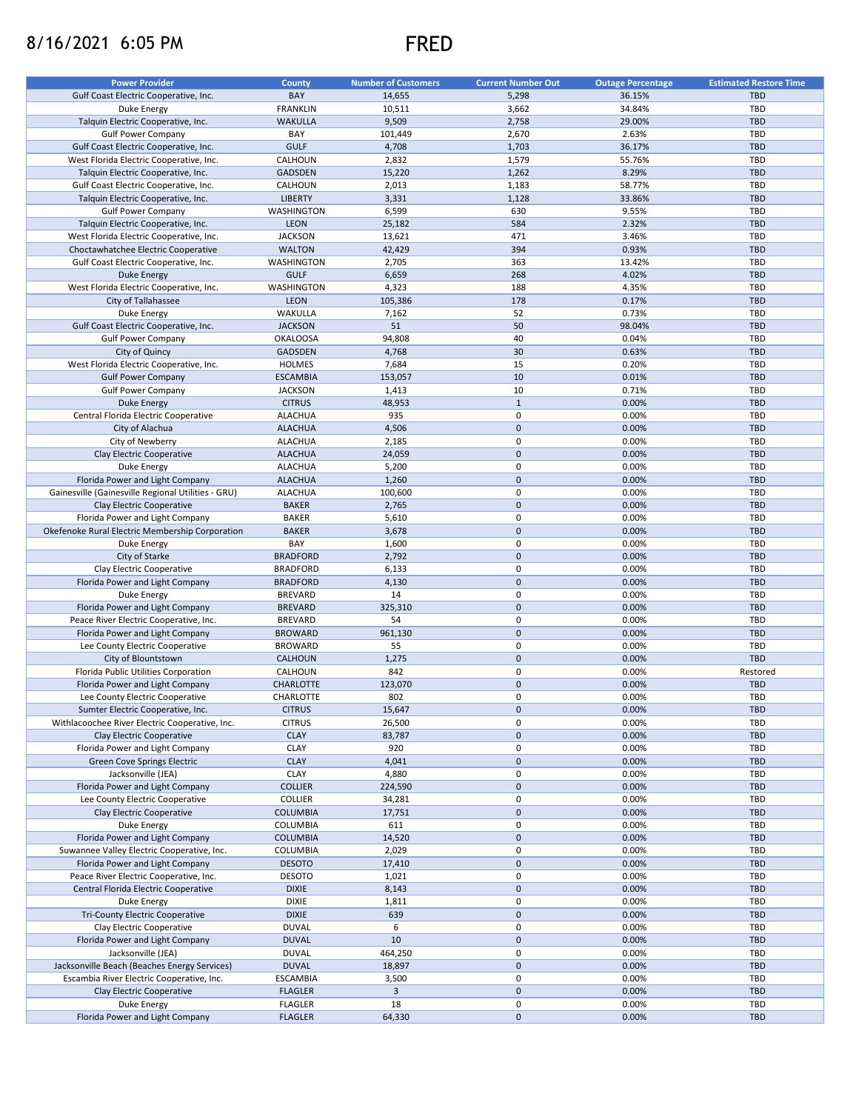## 8/16/2021 6:05 PM FRED



| <b>Power Provider</b>                              | <b>County</b>    | <b>Number of Customers</b> | <b>Current Number Out</b> | <b>Outage Percentage</b> | <b>Estimated Restore Time</b> |
|----------------------------------------------------|------------------|----------------------------|---------------------------|--------------------------|-------------------------------|
| Gulf Coast Electric Cooperative, Inc.              | BAY              | 14,655                     | 5,298                     | 36.15%                   | <b>TBD</b>                    |
|                                                    | <b>FRANKLIN</b>  |                            |                           | 34.84%                   | TBD                           |
| Duke Energy                                        | <b>WAKULLA</b>   | 10,511                     | 3,662                     |                          | <b>TBD</b>                    |
| Talquin Electric Cooperative, Inc.                 |                  | 9,509                      | 2,758                     | 29.00%                   |                               |
| <b>Gulf Power Company</b>                          | BAY              | 101,449                    | 2,670                     | 2.63%                    | TBD                           |
| Gulf Coast Electric Cooperative, Inc.              | <b>GULF</b>      | 4,708                      | 1,703                     | 36.17%                   | <b>TBD</b>                    |
| West Florida Electric Cooperative, Inc.            | CALHOUN          | 2,832                      | 1,579                     | 55.76%                   | <b>TBD</b>                    |
| Talquin Electric Cooperative, Inc.                 | <b>GADSDEN</b>   | 15,220                     | 1,262                     | 8.29%                    | <b>TBD</b>                    |
| Gulf Coast Electric Cooperative, Inc.              | CALHOUN          | 2,013                      | 1,183                     | 58.77%                   | <b>TBD</b>                    |
| Talquin Electric Cooperative, Inc.                 | <b>LIBERTY</b>   | 3,331                      | 1,128                     | 33.86%                   | <b>TBD</b>                    |
| <b>Gulf Power Company</b>                          | WASHINGTON       | 6,599                      | 630                       | 9.55%                    | TBD                           |
| Talquin Electric Cooperative, Inc.                 | <b>LEON</b>      | 25,182                     | 584                       | 2.32%                    | <b>TBD</b>                    |
| West Florida Electric Cooperative, Inc.            | <b>JACKSON</b>   | 13,621                     | 471                       | 3.46%                    | TBD                           |
| Choctawhatchee Electric Cooperative                | <b>WALTON</b>    | 42,429                     | 394                       | 0.93%                    | <b>TBD</b>                    |
|                                                    |                  | 2,705                      | 363                       | 13.42%                   | <b>TBD</b>                    |
| Gulf Coast Electric Cooperative, Inc.              | WASHINGTON       |                            |                           |                          |                               |
| <b>Duke Energy</b>                                 | <b>GULF</b>      | 6,659                      | 268                       | 4.02%                    | <b>TBD</b>                    |
| West Florida Electric Cooperative, Inc.            | WASHINGTON       | 4,323                      | 188                       | 4.35%                    | <b>TBD</b>                    |
| City of Tallahassee                                | <b>LEON</b>      | 105,386                    | 178                       | 0.17%                    | <b>TBD</b>                    |
| Duke Energy                                        | WAKULLA          | 7,162                      | 52                        | 0.73%                    | <b>TBD</b>                    |
| Gulf Coast Electric Cooperative, Inc.              | <b>JACKSON</b>   | 51                         | 50                        | 98.04%                   | <b>TBD</b>                    |
| <b>Gulf Power Company</b>                          | <b>OKALOOSA</b>  | 94,808                     | 40                        | 0.04%                    | <b>TBD</b>                    |
| City of Quincy                                     | <b>GADSDEN</b>   | 4,768                      | 30                        | 0.63%                    | <b>TBD</b>                    |
| West Florida Electric Cooperative, Inc.            | <b>HOLMES</b>    | 7,684                      | 15                        | 0.20%                    | <b>TBD</b>                    |
| <b>Gulf Power Company</b>                          | <b>ESCAMBIA</b>  | 153,057                    | 10                        | 0.01%                    | <b>TBD</b>                    |
| <b>Gulf Power Company</b>                          | <b>JACKSON</b>   | 1,413                      | 10                        | 0.71%                    | <b>TBD</b>                    |
| <b>Duke Energy</b>                                 | <b>CITRUS</b>    | 48,953                     | $\mathbf{1}$              | 0.00%                    | <b>TBD</b>                    |
|                                                    |                  |                            |                           |                          |                               |
| Central Florida Electric Cooperative               | <b>ALACHUA</b>   | 935                        | 0                         | 0.00%                    | <b>TBD</b>                    |
| City of Alachua                                    | <b>ALACHUA</b>   | 4,506                      | $\mathbf 0$               | 0.00%                    | <b>TBD</b>                    |
| City of Newberry                                   | <b>ALACHUA</b>   | 2,185                      | 0                         | 0.00%                    | <b>TBD</b>                    |
| Clay Electric Cooperative                          | <b>ALACHUA</b>   | 24,059                     | $\mathbf 0$               | 0.00%                    | <b>TBD</b>                    |
| Duke Energy                                        | <b>ALACHUA</b>   | 5,200                      | 0                         | 0.00%                    | <b>TBD</b>                    |
| Florida Power and Light Company                    | <b>ALACHUA</b>   | 1,260                      | $\mathbf 0$               | 0.00%                    | <b>TBD</b>                    |
| Gainesville (Gainesville Regional Utilities - GRU) | <b>ALACHUA</b>   | 100,600                    | 0                         | 0.00%                    | <b>TBD</b>                    |
| Clay Electric Cooperative                          | <b>BAKER</b>     | 2,765                      | $\mathbf 0$               | 0.00%                    | <b>TBD</b>                    |
| Florida Power and Light Company                    | <b>BAKER</b>     | 5,610                      | 0                         | 0.00%                    | <b>TBD</b>                    |
| Okefenoke Rural Electric Membership Corporation    | <b>BAKER</b>     | 3,678                      | $\mathbf 0$               | 0.00%                    | <b>TBD</b>                    |
|                                                    |                  |                            | 0                         |                          |                               |
| Duke Energy                                        | BAY              | 1,600                      |                           | 0.00%                    | TBD                           |
| City of Starke                                     | <b>BRADFORD</b>  | 2,792                      | $\mathbf 0$               | 0.00%                    | <b>TBD</b>                    |
| Clay Electric Cooperative                          | <b>BRADFORD</b>  | 6,133                      | 0                         | 0.00%                    | <b>TBD</b>                    |
| Florida Power and Light Company                    | <b>BRADFORD</b>  | 4,130                      | $\mathbf 0$               | 0.00%                    | <b>TBD</b>                    |
| Duke Energy                                        | <b>BREVARD</b>   | 14                         | 0                         | 0.00%                    | TBD                           |
| Florida Power and Light Company                    | <b>BREVARD</b>   | 325,310                    | $\mathbf 0$               | 0.00%                    | <b>TBD</b>                    |
| Peace River Electric Cooperative, Inc.             | <b>BREVARD</b>   | 54                         | 0                         | 0.00%                    | <b>TBD</b>                    |
| Florida Power and Light Company                    | <b>BROWARD</b>   | 961,130                    | $\mathbf 0$               | 0.00%                    | <b>TBD</b>                    |
| Lee County Electric Cooperative                    | <b>BROWARD</b>   | 55                         | $\pmb{0}$                 | 0.00%                    | TBD                           |
| City of Blountstown                                | CALHOUN          | 1,275                      | $\mathbf 0$               | 0.00%                    | <b>TBD</b>                    |
| Florida Public Utilities Corporation               | CALHOUN          | 842                        | 0                         | 0.00%                    | Restored                      |
| Florida Power and Light Company                    | <b>CHARLOTTE</b> | 123,070                    | $\pmb{0}$                 | 0.00%                    | <b>TBD</b>                    |
|                                                    |                  |                            | $\mathbf 0$               |                          |                               |
| Lee County Electric Cooperative                    | CHARLOTTE        | 802                        |                           | 0.00%                    | TBD                           |
| Sumter Electric Cooperative, Inc.                  | <b>CITRUS</b>    | 15,647                     | $\mathbf 0$               | 0.00%                    | <b>TBD</b>                    |
| Withlacoochee River Electric Cooperative, Inc.     | <b>CITRUS</b>    | 26,500                     | 0                         | 0.00%                    | TBD                           |
| Clay Electric Cooperative                          | <b>CLAY</b>      | 83,787                     | $\mathbf 0$               | 0.00%                    | <b>TBD</b>                    |
| Florida Power and Light Company                    | CLAY             | 920                        | 0                         | 0.00%                    | TBD                           |
| Green Cove Springs Electric                        | <b>CLAY</b>      | 4,041                      | $\mathbf 0$               | 0.00%                    | <b>TBD</b>                    |
| Jacksonville (JEA)                                 | CLAY             | 4,880                      | 0                         | 0.00%                    | TBD                           |
| Florida Power and Light Company                    | <b>COLLIER</b>   | 224,590                    | $\mathbf 0$               | 0.00%                    | <b>TBD</b>                    |
| Lee County Electric Cooperative                    | COLLIER          | 34,281                     | 0                         | 0.00%                    | TBD                           |
| Clay Electric Cooperative                          | <b>COLUMBIA</b>  | 17,751                     | $\mathbf 0$               | 0.00%                    | <b>TBD</b>                    |
|                                                    | COLUMBIA         | 611                        | 0                         | 0.00%                    | TBD                           |
| Duke Energy                                        |                  |                            |                           |                          |                               |
| Florida Power and Light Company                    | <b>COLUMBIA</b>  | 14,520                     | $\mathbf 0$               | 0.00%                    | <b>TBD</b>                    |
| Suwannee Valley Electric Cooperative, Inc.         | COLUMBIA         | 2,029                      | 0                         | 0.00%                    | TBD                           |
| Florida Power and Light Company                    | <b>DESOTO</b>    | 17,410                     | $\mathbf 0$               | 0.00%                    | <b>TBD</b>                    |
| Peace River Electric Cooperative, Inc.             | <b>DESOTO</b>    | 1,021                      | 0                         | 0.00%                    | TBD                           |
| Central Florida Electric Cooperative               | <b>DIXIE</b>     | 8,143                      | $\mathbf 0$               | 0.00%                    | <b>TBD</b>                    |
| Duke Energy                                        | <b>DIXIE</b>     | 1,811                      | 0                         | 0.00%                    | TBD                           |
| <b>Tri-County Electric Cooperative</b>             | <b>DIXIE</b>     | 639                        | $\mathbf 0$               | 0.00%                    | <b>TBD</b>                    |
| Clay Electric Cooperative                          | <b>DUVAL</b>     | 6                          | 0                         | 0.00%                    | TBD                           |
| Florida Power and Light Company                    | <b>DUVAL</b>     | 10                         | $\mathbf 0$               | 0.00%                    | <b>TBD</b>                    |
| Jacksonville (JEA)                                 | <b>DUVAL</b>     | 464,250                    | 0                         | 0.00%                    | <b>TBD</b>                    |
| Jacksonville Beach (Beaches Energy Services)       | <b>DUVAL</b>     | 18,897                     | $\mathbf 0$               | 0.00%                    | <b>TBD</b>                    |
|                                                    |                  |                            |                           |                          |                               |
| Escambia River Electric Cooperative, Inc.          | <b>ESCAMBIA</b>  | 3,500                      | 0                         | 0.00%                    | TBD                           |
| Clay Electric Cooperative                          | <b>FLAGLER</b>   | 3                          | $\mathbf 0$               | 0.00%                    | <b>TBD</b>                    |
| Duke Energy                                        | <b>FLAGLER</b>   | 18                         | 0                         | 0.00%                    | TBD                           |
| Florida Power and Light Company                    | <b>FLAGLER</b>   | 64,330                     | $\pmb{0}$                 | 0.00%                    | <b>TBD</b>                    |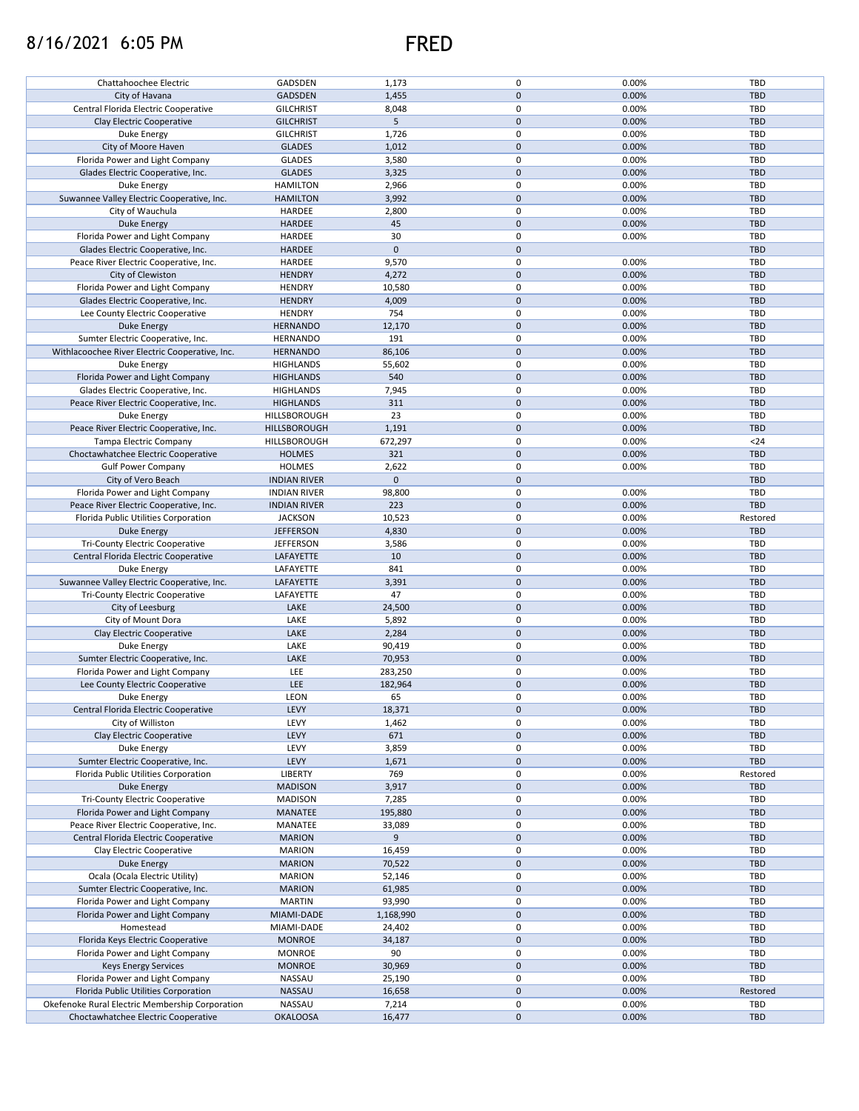## 8/16/2021 6:05 PM FRED



| Chattahoochee Electric                                                                 | GADSDEN                   | 1,173           | 0              | 0.00%          | TBD               |
|----------------------------------------------------------------------------------------|---------------------------|-----------------|----------------|----------------|-------------------|
| City of Havana                                                                         | <b>GADSDEN</b>            | 1,455           | $\mathbf 0$    | 0.00%          | <b>TBD</b>        |
|                                                                                        |                           |                 |                |                |                   |
| Central Florida Electric Cooperative                                                   | <b>GILCHRIST</b>          | 8,048           | 0              | 0.00%          | TBD               |
| Clay Electric Cooperative                                                              | <b>GILCHRIST</b>          | $\sqrt{5}$      | $\mathbf 0$    | 0.00%          | <b>TBD</b>        |
| Duke Energy                                                                            | <b>GILCHRIST</b>          | 1,726           | 0              | 0.00%          | TBD               |
|                                                                                        |                           |                 | $\mathbf 0$    |                | <b>TBD</b>        |
| City of Moore Haven                                                                    | <b>GLADES</b>             | 1,012           |                | 0.00%          |                   |
| Florida Power and Light Company                                                        | <b>GLADES</b>             | 3,580           | $\mathsf 0$    | 0.00%          | TBD               |
| Glades Electric Cooperative, Inc.                                                      | <b>GLADES</b>             | 3,325           | $\mathbf 0$    | 0.00%          | <b>TBD</b>        |
|                                                                                        |                           |                 |                |                |                   |
| Duke Energy                                                                            | <b>HAMILTON</b>           | 2,966           | 0              | 0.00%          | TBD               |
| Suwannee Valley Electric Cooperative, Inc.                                             | <b>HAMILTON</b>           | 3,992           | $\mathbf 0$    | 0.00%          | <b>TBD</b>        |
| City of Wauchula                                                                       | HARDEE                    | 2,800           | 0              | 0.00%          | TBD               |
|                                                                                        |                           |                 |                |                |                   |
| <b>Duke Energy</b>                                                                     | <b>HARDEE</b>             | 45              | $\mathbf 0$    | 0.00%          | <b>TBD</b>        |
| Florida Power and Light Company                                                        | HARDEE                    | 30              | 0              | 0.00%          | TBD               |
| Glades Electric Cooperative, Inc.                                                      | HARDEE                    | $\mathbf 0$     | $\mathbf 0$    |                | <b>TBD</b>        |
|                                                                                        |                           |                 |                |                |                   |
| Peace River Electric Cooperative, Inc.                                                 | HARDEE                    | 9,570           | $\mathsf 0$    | 0.00%          | TBD               |
| City of Clewiston                                                                      | <b>HENDRY</b>             | 4,272           | $\mathbf{0}$   | 0.00%          | <b>TBD</b>        |
|                                                                                        |                           |                 |                |                |                   |
| Florida Power and Light Company                                                        | <b>HENDRY</b>             | 10,580          | 0              | 0.00%          | TBD               |
| Glades Electric Cooperative, Inc.                                                      | <b>HENDRY</b>             | 4,009           | $\mathbf 0$    | 0.00%          | <b>TBD</b>        |
| Lee County Electric Cooperative                                                        | <b>HENDRY</b>             | 754             | 0              | 0.00%          | TBD               |
|                                                                                        |                           |                 |                |                |                   |
| <b>Duke Energy</b>                                                                     | <b>HERNANDO</b>           | 12,170          | $\pmb{0}$      | 0.00%          | <b>TBD</b>        |
| Sumter Electric Cooperative, Inc.                                                      | <b>HERNANDO</b>           | 191             | 0              | 0.00%          | TBD               |
| Withlacoochee River Electric Cooperative, Inc.                                         | <b>HERNANDO</b>           | 86,106          | $\pmb{0}$      | 0.00%          | <b>TBD</b>        |
|                                                                                        |                           |                 |                |                |                   |
| Duke Energy                                                                            | <b>HIGHLANDS</b>          | 55,602          | 0              | 0.00%          | TBD               |
| Florida Power and Light Company                                                        | <b>HIGHLANDS</b>          | 540             | $\mathbf 0$    | 0.00%          | <b>TBD</b>        |
|                                                                                        |                           |                 |                |                |                   |
| Glades Electric Cooperative, Inc.                                                      | <b>HIGHLANDS</b>          | 7,945           | 0              | 0.00%          | TBD               |
| Peace River Electric Cooperative, Inc.                                                 | <b>HIGHLANDS</b>          | 311             | $\mathbf 0$    | 0.00%          | <b>TBD</b>        |
| Duke Energy                                                                            | HILLSBOROUGH              | 23              | 0              | 0.00%          | TBD               |
|                                                                                        |                           |                 |                |                |                   |
| Peace River Electric Cooperative, Inc.                                                 | HILLSBOROUGH              | 1,191           | $\mathbf 0$    | 0.00%          | <b>TBD</b>        |
| Tampa Electric Company                                                                 | HILLSBOROUGH              | 672,297         | 0              | 0.00%          | $24$              |
| Choctawhatchee Electric Cooperative                                                    | <b>HOLMES</b>             | 321             | $\mathbf 0$    | 0.00%          | <b>TBD</b>        |
|                                                                                        |                           |                 |                |                |                   |
| <b>Gulf Power Company</b>                                                              | <b>HOLMES</b>             | 2,622           | 0              | 0.00%          | TBD               |
| City of Vero Beach                                                                     | <b>INDIAN RIVER</b>       | $\mathbf 0$     | $\mathbf 0$    |                | <b>TBD</b>        |
|                                                                                        |                           |                 | $\pmb{0}$      |                | TBD               |
| Florida Power and Light Company                                                        | <b>INDIAN RIVER</b>       | 98,800          |                | 0.00%          |                   |
| Peace River Electric Cooperative, Inc.                                                 | <b>INDIAN RIVER</b>       | 223             | $\mathbf 0$    | 0.00%          | <b>TBD</b>        |
| Florida Public Utilities Corporation                                                   | <b>JACKSON</b>            | 10,523          | 0              | 0.00%          | Restored          |
|                                                                                        |                           |                 |                |                |                   |
| <b>Duke Energy</b>                                                                     | <b>JEFFERSON</b>          | 4,830           | $\mathbf 0$    | 0.00%          | <b>TBD</b>        |
| <b>Tri-County Electric Cooperative</b>                                                 | <b>JEFFERSON</b>          | 3,586           | $\mathsf 0$    | 0.00%          | TBD               |
| Central Florida Electric Cooperative                                                   | LAFAYETTE                 | 10              | $\mathbf 0$    | 0.00%          | <b>TBD</b>        |
|                                                                                        |                           |                 |                |                |                   |
| Duke Energy                                                                            | LAFAYETTE                 | 841             | 0              | 0.00%          | TBD               |
| Suwannee Valley Electric Cooperative, Inc.                                             | LAFAYETTE                 | 3,391           | $\mathbf 0$    | 0.00%          | <b>TBD</b>        |
| Tri-County Electric Cooperative                                                        | LAFAYETTE                 | 47              | 0              | 0.00%          | TBD               |
|                                                                                        |                           |                 |                |                |                   |
| City of Leesburg                                                                       | LAKE                      | 24,500          | $\mathbf 0$    | 0.00%          | <b>TBD</b>        |
| City of Mount Dora                                                                     | LAKE                      | 5,892           | 0              | 0.00%          | TBD               |
|                                                                                        |                           |                 |                |                |                   |
| Clay Electric Cooperative                                                              | LAKE                      | 2,284           | $\mathbf 0$    | 0.00%          | <b>TBD</b>        |
| Duke Energy                                                                            | LAKE                      | 90,419          | $\pmb{0}$      | 0.00%          | TBD               |
| Sumter Electric Cooperative, Inc.                                                      | LAKE                      | 70,953          | $\mathbf 0$    | 0.00%          | <b>TBD</b>        |
|                                                                                        |                           |                 |                |                |                   |
| Florida Power and Light Company                                                        | LEE                       | 283,250         | 0              | 0.00%          | TBD               |
| Lee County Electric Cooperative                                                        | LEE                       | 182,964         | $\pmb{0}$      | 0.00%          | <b>TBD</b>        |
|                                                                                        |                           |                 | $\mathbf 0$    |                |                   |
| Duke Energy                                                                            | <b>LEON</b>               | 65              |                | 0.00%          | TBD               |
| Central Florida Electric Cooperative                                                   | LEVY                      | 18,371          | $\mathbf 0$    | 0.00%          | <b>TBD</b>        |
| City of Williston                                                                      | LEVY                      | 1,462           | 0              | 0.00%          | TBD               |
| Clay Electric Cooperative                                                              | LEVY                      |                 |                |                | <b>TBD</b>        |
|                                                                                        |                           | 671             | $\mathbf 0$    | 0.00%          |                   |
| Duke Energy                                                                            | LEVY                      | 3,859           | 0              | 0.00%          | TBD               |
| Sumter Electric Cooperative, Inc.                                                      | LEVY                      | 1,671           | $\mathbf 0$    | 0.00%          | <b>TBD</b>        |
|                                                                                        |                           |                 |                |                |                   |
| Florida Public Utilities Corporation                                                   | LIBERTY                   | 769             | 0              | 0.00%          | Restored          |
| Duke Energy                                                                            | <b>MADISON</b>            | 3,917           | $\mathbf 0$    | 0.00%          | <b>TBD</b>        |
| <b>Tri-County Electric Cooperative</b>                                                 | <b>MADISON</b>            | 7,285           | 0              | 0.00%          | TBD               |
|                                                                                        |                           |                 |                |                |                   |
| Florida Power and Light Company                                                        | <b>MANATEE</b>            | 195,880         | $\mathbf 0$    | 0.00%          | TBD               |
| Peace River Electric Cooperative, Inc.                                                 | MANATEE                   | 33,089          | 0              | 0.00%          | TBD               |
| Central Florida Electric Cooperative                                                   | <b>MARION</b>             | 9               | $\mathbf 0$    | 0.00%          | <b>TBD</b>        |
|                                                                                        |                           |                 |                |                |                   |
| Clay Electric Cooperative                                                              | <b>MARION</b>             | 16,459          | 0              | 0.00%          | TBD               |
| Duke Energy                                                                            | <b>MARION</b>             | 70,522          | $\mathbf 0$    | 0.00%          | <b>TBD</b>        |
|                                                                                        |                           |                 |                |                |                   |
| Ocala (Ocala Electric Utility)                                                         | <b>MARION</b>             | 52,146          | 0              | 0.00%          | TBD               |
| Sumter Electric Cooperative, Inc.                                                      | <b>MARION</b>             | 61,985          | $\mathbf 0$    | 0.00%          | <b>TBD</b>        |
| Florida Power and Light Company                                                        | <b>MARTIN</b>             | 93,990          | 0              | 0.00%          | TBD               |
|                                                                                        |                           |                 |                |                |                   |
| Florida Power and Light Company                                                        | MIAMI-DADE                | 1,168,990       | $\mathbf 0$    | 0.00%          | <b>TBD</b>        |
| Homestead                                                                              | MIAMI-DADE                | 24,402          | 0              | 0.00%          | TBD               |
| Florida Keys Electric Cooperative                                                      | <b>MONROE</b>             | 34,187          | $\mathbf 0$    | 0.00%          | <b>TBD</b>        |
|                                                                                        |                           |                 |                |                |                   |
| Florida Power and Light Company                                                        | <b>MONROE</b>             | 90              | 0              | 0.00%          | TBD               |
| <b>Keys Energy Services</b>                                                            | <b>MONROE</b>             | 30,969          | $\mathbf 0$    | 0.00%          | <b>TBD</b>        |
|                                                                                        |                           |                 |                |                |                   |
| Florida Power and Light Company                                                        | NASSAU                    | 25,190          | 0              | 0.00%          | TBD               |
| Florida Public Utilities Corporation                                                   | NASSAU                    | 16,658          | $\mathbf 0$    | 0.00%          | Restored          |
|                                                                                        |                           |                 |                |                |                   |
|                                                                                        |                           |                 |                |                |                   |
| Okefenoke Rural Electric Membership Corporation<br>Choctawhatchee Electric Cooperative | NASSAU<br><b>OKALOOSA</b> | 7,214<br>16,477 | 0<br>$\pmb{0}$ | 0.00%<br>0.00% | TBD<br><b>TBD</b> |